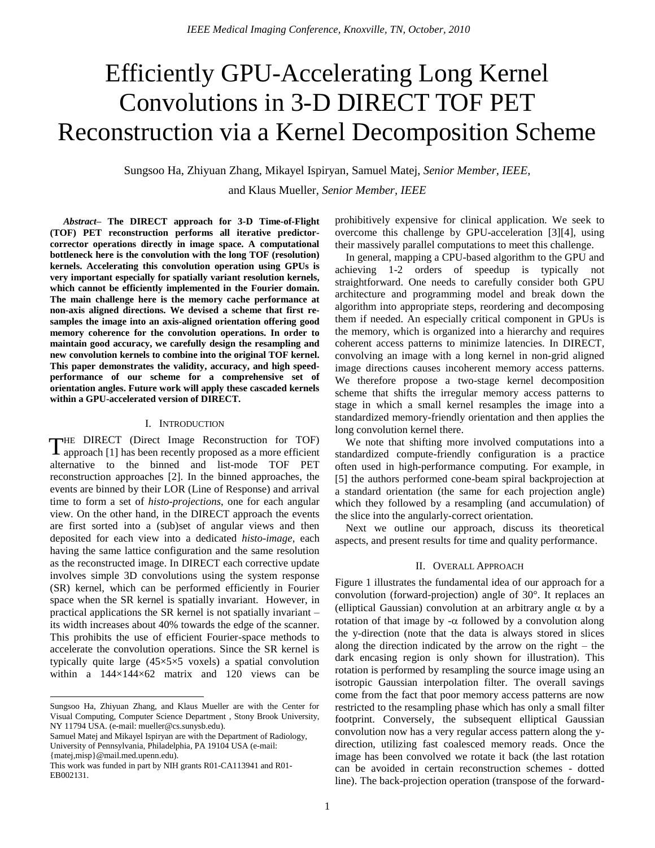# Efficiently GPU-Accelerating Long Kernel Convolutions in 3-D DIRECT TOF PET Reconstruction via a Kernel Decomposition Scheme

Sungsoo Ha, Zhiyuan Zhang, Mikayel Ispiryan, Samuel Matej, *Senior Member, IEEE,* 

and Klaus Mueller*, Senior Member, IEEE*

*Abstract–* **The DIRECT approach for 3-D Time-of-Flight (TOF) PET reconstruction performs all iterative predictorcorrector operations directly in image space. A computational bottleneck here is the convolution with the long TOF (resolution) kernels. Accelerating this convolution operation using GPUs is very important especially for spatially variant resolution kernels, which cannot be efficiently implemented in the Fourier domain. The main challenge here is the memory cache performance at non-axis aligned directions. We devised a scheme that first resamples the image into an axis-aligned orientation offering good memory coherence for the convolution operations. In order to maintain good accuracy, we carefully design the resampling and new convolution kernels to combine into the original TOF kernel. This paper demonstrates the validity, accuracy, and high speedperformance of our scheme for a comprehensive set of orientation angles. Future work will apply these cascaded kernels within a GPU-accelerated version of DIRECT.** 

# I. INTRODUCTION

HE DIRECT (Direct Image Reconstruction for TOF) THE DIRECT (Direct Image Reconstruction for TOF) approach [\[1\]](#page-1-0) has been recently proposed as a more efficient alternative to the binned and list-mode TOF PET reconstruction approaches [\[2\].](#page-1-1) In the binned approaches, the events are binned by their LOR (Line of Response) and arrival time to form a set of *histo-projections*, one for each angular view. On the other hand, in the DIRECT approach the events are first sorted into a (sub)set of angular views and then deposited for each view into a dedicated *histo-image*, each having the same lattice configuration and the same resolution as the reconstructed image. In DIRECT each corrective update involves simple 3D convolutions using the system response (SR) kernel, which can be performed efficiently in Fourier space when the SR kernel is spatially invariant. However, in practical applications the SR kernel is not spatially invariant – its width increases about 40% towards the edge of the scanner. This prohibits the use of efficient Fourier-space methods to accelerate the convolution operations. Since the SR kernel is typically quite large  $(45\times5\times5$  voxels) a spatial convolution within a 144×144×62 matrix and 120 views can be

l

prohibitively expensive for clinical application. We seek to overcome this challenge by GPU-acceleration [\[3\]\[4\],](#page-1-2) using their massively parallel computations to meet this challenge.

In general, mapping a CPU-based algorithm to the GPU and achieving 1-2 orders of speedup is typically not straightforward. One needs to carefully consider both GPU architecture and programming model and break down the algorithm into appropriate steps, reordering and decomposing them if needed. An especially critical component in GPUs is the memory, which is organized into a hierarchy and requires coherent access patterns to minimize latencies. In DIRECT, convolving an image with a long kernel in non-grid aligned image directions causes incoherent memory access patterns. We therefore propose a two-stage kernel decomposition scheme that shifts the irregular memory access patterns to stage in which a small kernel resamples the image into a standardized memory-friendly orientation and then applies the long convolution kernel there.

We note that shifting more involved computations into a standardized compute-friendly configuration is a practice often used in high-performance computing. For example, in [\[5\]](#page-1-3) the authors performed cone-beam spiral backprojection at a standard orientation (the same for each projection angle) which they followed by a resampling (and accumulation) of the slice into the angularly-correct orientation.

Next we outline our approach, discuss its theoretical aspects, and present results for time and quality performance.

# II. OVERALL APPROACH

Figure 1 illustrates the fundamental idea of our approach for a convolution (forward-projection) angle of 30°. It replaces an (elliptical Gaussian) convolution at an arbitrary angle  $\alpha$  by a rotation of that image by  $-\alpha$  followed by a convolution along the y-direction (note that the data is always stored in slices along the direction indicated by the arrow on the right – the dark encasing region is only shown for illustration). This rotation is performed by resampling the source image using an isotropic Gaussian interpolation filter. The overall savings come from the fact that poor memory access patterns are now restricted to the resampling phase which has only a small filter footprint. Conversely, the subsequent elliptical Gaussian convolution now has a very regular access pattern along the ydirection, utilizing fast coalesced memory reads. Once the image has been convolved we rotate it back (the last rotation can be avoided in certain reconstruction schemes - dotted line). The back-projection operation (transpose of the forward-

Sungsoo Ha, Zhiyuan Zhang, and Klaus Mueller are with the Center for Visual Computing, Computer Science Department , Stony Brook University, NY 11794 USA. (e-mail[: mueller@cs.sunysb.edu\)](mailto:mueller@cs.sunysb.edu).

Samuel Matej and Mikayel Ispiryan are with the Department of Radiology, University of Pennsylvania, Philadelphia, PA 19104 USA (e-mail: [{matej,misp}@mail.med.upenn.edu\)](mailto:matej@mail.med.upenn.edu).

This work was funded in part by NIH grants R01-CA113941 and R01- EB002131.